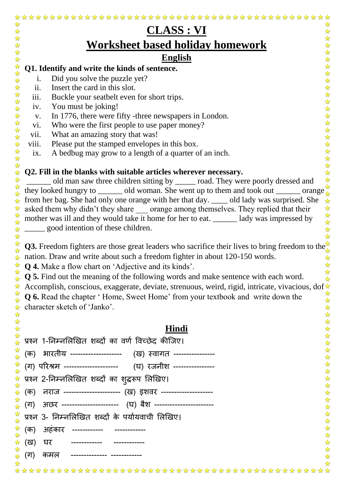|                                                                                                                                                                                    | <b>CLASS : VI</b>                                                                                                                                                                         |  |  |  |  |  |  |  |
|------------------------------------------------------------------------------------------------------------------------------------------------------------------------------------|-------------------------------------------------------------------------------------------------------------------------------------------------------------------------------------------|--|--|--|--|--|--|--|
|                                                                                                                                                                                    | <b>Worksheet based holiday homework</b>                                                                                                                                                   |  |  |  |  |  |  |  |
| <b>English</b>                                                                                                                                                                     |                                                                                                                                                                                           |  |  |  |  |  |  |  |
| $\frac{1}{\sqrt{2}}$<br>☆<br>Q1. Identify and write the kinds of sentence.                                                                                                         |                                                                                                                                                                                           |  |  |  |  |  |  |  |
| $\mathbf{i}$ .                                                                                                                                                                     | $\frac{1}{2}$<br>Did you solve the puzzle yet?<br>$\frac{1}{\sqrt{2}}$                                                                                                                    |  |  |  |  |  |  |  |
| ii.                                                                                                                                                                                | $\frac{1}{\sqrt{2}}$<br>Insert the card in this slot.                                                                                                                                     |  |  |  |  |  |  |  |
| iii.                                                                                                                                                                               | $\frac{1}{\sqrt{2}}$<br>Buckle your seatbelt even for short trips.<br>$\frac{1}{\sqrt{2}}$                                                                                                |  |  |  |  |  |  |  |
| iv.                                                                                                                                                                                | You must be joking!<br>$\frac{1}{\sqrt{2}}$                                                                                                                                               |  |  |  |  |  |  |  |
| V.                                                                                                                                                                                 | ☆<br>In 1776, there were fifty -three newspapers in London.                                                                                                                               |  |  |  |  |  |  |  |
| vi.                                                                                                                                                                                | ☆<br>Who were the first people to use paper money?<br>☆                                                                                                                                   |  |  |  |  |  |  |  |
| vii.                                                                                                                                                                               | What an amazing story that was!<br>$\frac{1}{\sqrt{2}}$                                                                                                                                   |  |  |  |  |  |  |  |
| viii.                                                                                                                                                                              | Please put the stamped envelopes in this box.                                                                                                                                             |  |  |  |  |  |  |  |
| ix.                                                                                                                                                                                | A bedbug may grow to a length of a quarter of an inch.                                                                                                                                    |  |  |  |  |  |  |  |
|                                                                                                                                                                                    |                                                                                                                                                                                           |  |  |  |  |  |  |  |
|                                                                                                                                                                                    | Q2. Fill in the blanks with suitable articles wherever necessary.                                                                                                                         |  |  |  |  |  |  |  |
|                                                                                                                                                                                    | old man saw three children sitting by ______ road. They were poorly dressed and<br>they looked hungry to _______ old woman. She went up to them and took out _______ orange $\frac{1}{4}$ |  |  |  |  |  |  |  |
| from her bag. She had only one orange with her that day. ____ old lady was surprised. She                                                                                          |                                                                                                                                                                                           |  |  |  |  |  |  |  |
|                                                                                                                                                                                    |                                                                                                                                                                                           |  |  |  |  |  |  |  |
| asked them why didn't they share same orange among themselves. They replied that their<br>mother was ill and they would take it home for her to eat. _______ lady was impressed by |                                                                                                                                                                                           |  |  |  |  |  |  |  |
|                                                                                                                                                                                    | good intention of these children.                                                                                                                                                         |  |  |  |  |  |  |  |
|                                                                                                                                                                                    |                                                                                                                                                                                           |  |  |  |  |  |  |  |
|                                                                                                                                                                                    | Q3. Freedom fighters are those great leaders who sacrifice their lives to bring freedom to the $\frac{1}{4}$                                                                              |  |  |  |  |  |  |  |
|                                                                                                                                                                                    | nation. Draw and write about such a freedom fighter in about 120-150 words.                                                                                                               |  |  |  |  |  |  |  |
|                                                                                                                                                                                    | $\mathbf{Q}$ 4. Make a flow chart on 'Adjective and its kinds'.                                                                                                                           |  |  |  |  |  |  |  |
|                                                                                                                                                                                    | Q 5. Find out the meaning of the following words and make sentence with each word.                                                                                                        |  |  |  |  |  |  |  |
|                                                                                                                                                                                    | Accomplish, conscious, exaggerate, deviate, strenuous, weird, rigid, intricate, vivacious, dof                                                                                            |  |  |  |  |  |  |  |
|                                                                                                                                                                                    | <b>Q 6.</b> Read the chapter 'Home, Sweet Home' from your textbook and write down the                                                                                                     |  |  |  |  |  |  |  |
|                                                                                                                                                                                    | ☆<br>character sketch of 'Janko'.<br>☆                                                                                                                                                    |  |  |  |  |  |  |  |
|                                                                                                                                                                                    |                                                                                                                                                                                           |  |  |  |  |  |  |  |
|                                                                                                                                                                                    | 琴琴琴<br>Hindi                                                                                                                                                                              |  |  |  |  |  |  |  |
|                                                                                                                                                                                    |                                                                                                                                                                                           |  |  |  |  |  |  |  |
|                                                                                                                                                                                    | प्रश्न 1-निम्नलिखित शब्दों का वर्ण विच्छेद कीजिए।<br>☆                                                                                                                                    |  |  |  |  |  |  |  |
| (क)                                                                                                                                                                                | भारतीय --------------------  (ख) स्वागत ----------------                                                                                                                                  |  |  |  |  |  |  |  |
|                                                                                                                                                                                    | ☆<br>(ग) परिश्रम ---------------------- (घ) रजनीश ----------------<br>☆                                                                                                                   |  |  |  |  |  |  |  |
|                                                                                                                                                                                    | <sup>र</sup> प्रश्न 2-निम्नलिखित शब्दों का शुद् <mark>दरूप लिखिए।</mark>                                                                                                                  |  |  |  |  |  |  |  |
| (क)                                                                                                                                                                                | नराज --------------------- (ख) इशवर -------------------                                                                                                                                   |  |  |  |  |  |  |  |
| (ग)                                                                                                                                                                                | $\frac{1}{\sqrt{2}}$<br>अछर ---------------------- (घ) बैश ----------------------<br>$\frac{1}{2}$                                                                                        |  |  |  |  |  |  |  |
|                                                                                                                                                                                    | $\frac{1}{2}$<br>प्रश्न 3- निम्नलिखित शब्दों के पर्यायवाची लिखिए।<br>☆                                                                                                                    |  |  |  |  |  |  |  |
| (क)                                                                                                                                                                                | $\frac{1}{2}$<br>अहंकार ------------ ------------                                                                                                                                         |  |  |  |  |  |  |  |
| (ख)                                                                                                                                                                                | 经外外外<br>घर ------------ ------------                                                                                                                                                      |  |  |  |  |  |  |  |
| (ग)                                                                                                                                                                                | कमल -------------- ------------                                                                                                                                                           |  |  |  |  |  |  |  |
|                                                                                                                                                                                    |                                                                                                                                                                                           |  |  |  |  |  |  |  |
|                                                                                                                                                                                    |                                                                                                                                                                                           |  |  |  |  |  |  |  |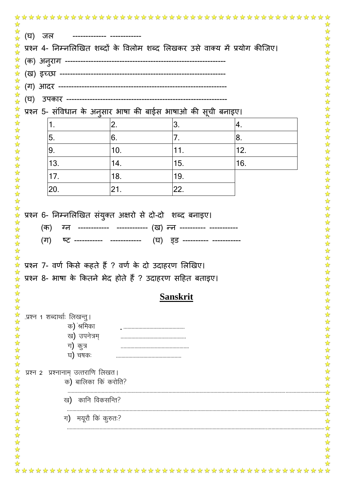| (घ) जल   |                                             | -------------- ------------ |                                                                                                                                                               |                                                                             |  |
|----------|---------------------------------------------|-----------------------------|---------------------------------------------------------------------------------------------------------------------------------------------------------------|-----------------------------------------------------------------------------|--|
|          |                                             |                             |                                                                                                                                                               | प्रश्न 4- निम्नलिखित शब्दों के विलोम शब्द लिखकर उसे वाक्य में प्रयोग कीजिए। |  |
|          |                                             |                             |                                                                                                                                                               |                                                                             |  |
|          |                                             |                             |                                                                                                                                                               |                                                                             |  |
|          |                                             |                             |                                                                                                                                                               |                                                                             |  |
| (घ)      |                                             |                             |                                                                                                                                                               |                                                                             |  |
|          |                                             |                             | प्रश्न 5- संविधान के अन् <b>सार भाषा की बाईस भाषाओ की सूची बनाइए</b> ।                                                                                        |                                                                             |  |
|          | 1.                                          | 2.                          | 3.                                                                                                                                                            | 4.                                                                          |  |
|          | 5.                                          | 6.                          | 7.                                                                                                                                                            | 8.                                                                          |  |
|          | 9.                                          | 10.                         | 11.                                                                                                                                                           | 12.                                                                         |  |
|          | 13.                                         | 14.                         | 15.                                                                                                                                                           | 16.                                                                         |  |
|          | 17.                                         | 18.                         | 19.                                                                                                                                                           |                                                                             |  |
|          | 20.                                         | 21.                         | 22.                                                                                                                                                           |                                                                             |  |
|          | (क)<br>(ग)                                  |                             | प्रश्न 6- निम्नलिखित संयुक्त अक्षरो से दो-दो शब्द बनाइए।<br>ग्न ------------ ------------ (ख) न्न ---------- -----------<br>(घ)    इङ ---------- ------------ |                                                                             |  |
|          |                                             |                             | * प्रश्न 7- वर्ण किसे कहते हैं ? वर्ण के दो उदाहरण लिखिए।<br>प्रश्न 8- भाषा के कितने भेद होते हैं ? उदाहरण सहित बताइए।                                        |                                                                             |  |
|          |                                             |                             | <b>Sanskrit</b>                                                                                                                                               |                                                                             |  |
|          |                                             |                             |                                                                                                                                                               |                                                                             |  |
|          | .प्रश्न 1 शब्दार्थाः लिखन्तु।<br>क) श्रमिका |                             |                                                                                                                                                               |                                                                             |  |
|          | ख) उपनेत्रम्                                |                             |                                                                                                                                                               |                                                                             |  |
|          | ग) कुत्र                                    |                             |                                                                                                                                                               |                                                                             |  |
|          | घ) चषकः                                     |                             |                                                                                                                                                               |                                                                             |  |
| प्रश्न 2 | प्रश्नानाम् उत्तराणि लिखत।                  |                             |                                                                                                                                                               |                                                                             |  |
|          |                                             | क) बालिका किं करोति?        |                                                                                                                                                               |                                                                             |  |
|          |                                             | ख) कानि विकसन्ति?           |                                                                                                                                                               |                                                                             |  |
|          |                                             | ग) मयूरौ किं कुरुतः?        |                                                                                                                                                               |                                                                             |  |
|          |                                             |                             |                                                                                                                                                               |                                                                             |  |
|          |                                             |                             |                                                                                                                                                               |                                                                             |  |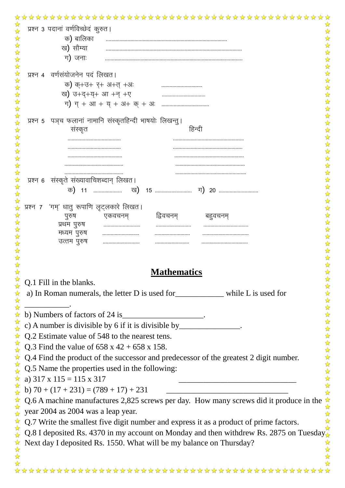| ☆<br>प्रश्न ३ पदानां वर्णविच्छेदं कुरुत।                                                                       |
|----------------------------------------------------------------------------------------------------------------|
| क) बालिका                                                                                                      |
| ख) सौम्या                                                                                                      |
| ग) जनाः                                                                                                        |
| वर्णसंयोजनेन पदं लिखत।<br>प्रश्न 4                                                                             |
| क) क्+उ+ र्+ अ+त् +अः                                                                                          |
| ख) उ+द+य्+ आ +न् +ए                                                                                            |
|                                                                                                                |
|                                                                                                                |
| पञ्च फलानां नामानि संस्कृतहिन्दी भाषयोः लिखन्तु।<br>प्रश्न 5                                                   |
| संस्कृत<br>हिन्दी                                                                                              |
|                                                                                                                |
|                                                                                                                |
|                                                                                                                |
| संस्कृते संख्यावाचिशब्दान् लिखत।<br>प्रश्न 6                                                                   |
| 15                                                                                                             |
|                                                                                                                |
| 'गम्' धातु रूपाणि लृट्लकारे लिखत।<br>प्रश्न 7                                                                  |
| द्विवचनम्<br>पुरुष<br>एकवचनम्<br>बहुवचनम्                                                                      |
| प्रथम पुरुष<br>मध्यम पुरुष                                                                                     |
| उत्तम पुरुष                                                                                                    |
|                                                                                                                |
|                                                                                                                |
| <b>Mathematics</b>                                                                                             |
| Q.1 Fill in the blanks.<br>☆                                                                                   |
| a) In Roman numerals, the letter D is used for _____________ while L is used for<br>$\frac{1}{\sqrt{2}}$       |
| $\frac{1}{\sqrt{2}}$                                                                                           |
| 琴琴琴<br>b) Numbers of factors of 24 is                                                                          |
|                                                                                                                |
| ******<br>Q.2 Estimate value of 548 to the nearest tens.                                                       |
| Q.3 Find the value of $658 \times 42 + 658 \times 158$ .                                                       |
| Q.4 Find the product of the successor and predecessor of the greatest 2 digit number.                          |
| $\frac{1}{\sqrt{2}}$<br>Q.5 Name the properties used in the following:<br>☆                                    |
| a) $317 \times 115 = 115 \times 317$                                                                           |
| b) $70 + (17 + 231) = (789 + 17) + 231$<br><u> 1980 - Johann John Stone, martin am Francisco III (b. 1914)</u> |
| $\frac{1}{2}$<br>Q.6 A machine manufactures 2,825 screws per day. How many screws did it produce in the        |
| year 2004 as 2004 was a leap year.                                                                             |
| Q.7 Write the smallest five digit number and express it as a product of prime factors.                         |
| ☆<br>Q.8 I deposited Rs. 4370 in my account on Monday and then withdrew Rs. 2875 on Tuesday.                   |
| Next day I deposited Rs. 1550. What will be my balance on Thursday?                                            |
|                                                                                                                |
|                                                                                                                |
|                                                                                                                |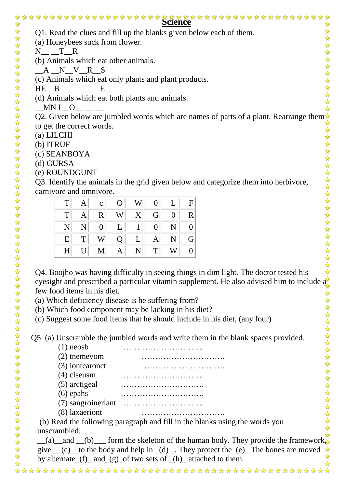| Q1. Read the clues and fill up the blanks given below each of them.<br>(a) Honeybees suck from flower.<br>T R<br>(b) Animals which eat other animals.<br>$A_N_V_R_S$<br>(c) Animals which eat only plants and plant products.<br>E<br>(d) Animals which eat both plants and animals.<br>MNI O<br>Q2. Given below are jumbled words which are names of parts of a plant. Rearrange them $\star$<br>to get the correct words.<br>$(a)$ LILCHI<br>(b) ITRUF<br>(c) SEANBOYA<br>(d) GURSA<br>(e) ROUNDGUNT<br>Q3. Identify the animals in the grid given below and categorize them into herbivore,<br>carnivore and omnivore.<br>T<br>W<br>$\mathbf{F}$<br>$\mathbf{O}$<br>$\overline{0}$<br>A<br>L<br>$\mathbf c$<br>T<br>X<br>$\mathbf R$<br>W<br>G<br>A<br>$\overline{0}$<br>R<br>N<br>L<br>N<br>$\overline{0}$<br>$\mathbf{1}$<br>$\overline{0}$<br>N<br>$\theta$<br>T<br>E<br>W<br>L<br>Q<br>N<br>G<br>A<br>U<br>T<br>H<br>N<br>W<br>M<br>$\theta$<br>A<br>Q4. Boojho was having difficulty in seeing things in dim light. The doctor tested his<br>eyesight and prescribed a particular vitamin supplement. He also advised him to include $\frac{d}{dx}$<br>few food items in his diet.<br>(a) Which deficiency disease is he suffering from?<br>(b) Which food component may be lacking in his diet?<br>(c) Suggest some food items that he should include in his diet, (any four)<br>Q5. (a) Unscramble the jumbled words and write them in the blank spaces provided.<br>$(1)$ neosb<br>$(2)$ themevom<br>(3) iontcaronct<br>$(4)$ clseusm<br>(5) arctigeal<br>$(6)$ epahs<br>(8) laxaeriont<br>(b) Read the following paragraph and fill in the blanks using the words you<br>unscrambled.<br>(a) and $($ b) form the skeleton of the human body. They provide the framework $\sqrt{\sqrt{}}$ |      |  |  |  |  |  |  |  |
|------------------------------------------------------------------------------------------------------------------------------------------------------------------------------------------------------------------------------------------------------------------------------------------------------------------------------------------------------------------------------------------------------------------------------------------------------------------------------------------------------------------------------------------------------------------------------------------------------------------------------------------------------------------------------------------------------------------------------------------------------------------------------------------------------------------------------------------------------------------------------------------------------------------------------------------------------------------------------------------------------------------------------------------------------------------------------------------------------------------------------------------------------------------------------------------------------------------------------------------------------------------------------------------------------------------------------------------------------------------------------------------------------------------------------------------------------------------------------------------------------------------------------------------------------------------------------------------------------------------------------------------------------------------------------------------------------------------------------------------------------------------------------------------------------|------|--|--|--|--|--|--|--|
|                                                                                                                                                                                                                                                                                                                                                                                                                                                                                                                                                                                                                                                                                                                                                                                                                                                                                                                                                                                                                                                                                                                                                                                                                                                                                                                                                                                                                                                                                                                                                                                                                                                                                                                                                                                                      |      |  |  |  |  |  |  |  |
|                                                                                                                                                                                                                                                                                                                                                                                                                                                                                                                                                                                                                                                                                                                                                                                                                                                                                                                                                                                                                                                                                                                                                                                                                                                                                                                                                                                                                                                                                                                                                                                                                                                                                                                                                                                                      |      |  |  |  |  |  |  |  |
|                                                                                                                                                                                                                                                                                                                                                                                                                                                                                                                                                                                                                                                                                                                                                                                                                                                                                                                                                                                                                                                                                                                                                                                                                                                                                                                                                                                                                                                                                                                                                                                                                                                                                                                                                                                                      | N    |  |  |  |  |  |  |  |
|                                                                                                                                                                                                                                                                                                                                                                                                                                                                                                                                                                                                                                                                                                                                                                                                                                                                                                                                                                                                                                                                                                                                                                                                                                                                                                                                                                                                                                                                                                                                                                                                                                                                                                                                                                                                      |      |  |  |  |  |  |  |  |
|                                                                                                                                                                                                                                                                                                                                                                                                                                                                                                                                                                                                                                                                                                                                                                                                                                                                                                                                                                                                                                                                                                                                                                                                                                                                                                                                                                                                                                                                                                                                                                                                                                                                                                                                                                                                      |      |  |  |  |  |  |  |  |
|                                                                                                                                                                                                                                                                                                                                                                                                                                                                                                                                                                                                                                                                                                                                                                                                                                                                                                                                                                                                                                                                                                                                                                                                                                                                                                                                                                                                                                                                                                                                                                                                                                                                                                                                                                                                      |      |  |  |  |  |  |  |  |
|                                                                                                                                                                                                                                                                                                                                                                                                                                                                                                                                                                                                                                                                                                                                                                                                                                                                                                                                                                                                                                                                                                                                                                                                                                                                                                                                                                                                                                                                                                                                                                                                                                                                                                                                                                                                      | HE B |  |  |  |  |  |  |  |
|                                                                                                                                                                                                                                                                                                                                                                                                                                                                                                                                                                                                                                                                                                                                                                                                                                                                                                                                                                                                                                                                                                                                                                                                                                                                                                                                                                                                                                                                                                                                                                                                                                                                                                                                                                                                      |      |  |  |  |  |  |  |  |
|                                                                                                                                                                                                                                                                                                                                                                                                                                                                                                                                                                                                                                                                                                                                                                                                                                                                                                                                                                                                                                                                                                                                                                                                                                                                                                                                                                                                                                                                                                                                                                                                                                                                                                                                                                                                      |      |  |  |  |  |  |  |  |
|                                                                                                                                                                                                                                                                                                                                                                                                                                                                                                                                                                                                                                                                                                                                                                                                                                                                                                                                                                                                                                                                                                                                                                                                                                                                                                                                                                                                                                                                                                                                                                                                                                                                                                                                                                                                      |      |  |  |  |  |  |  |  |
|                                                                                                                                                                                                                                                                                                                                                                                                                                                                                                                                                                                                                                                                                                                                                                                                                                                                                                                                                                                                                                                                                                                                                                                                                                                                                                                                                                                                                                                                                                                                                                                                                                                                                                                                                                                                      |      |  |  |  |  |  |  |  |
|                                                                                                                                                                                                                                                                                                                                                                                                                                                                                                                                                                                                                                                                                                                                                                                                                                                                                                                                                                                                                                                                                                                                                                                                                                                                                                                                                                                                                                                                                                                                                                                                                                                                                                                                                                                                      |      |  |  |  |  |  |  |  |
|                                                                                                                                                                                                                                                                                                                                                                                                                                                                                                                                                                                                                                                                                                                                                                                                                                                                                                                                                                                                                                                                                                                                                                                                                                                                                                                                                                                                                                                                                                                                                                                                                                                                                                                                                                                                      |      |  |  |  |  |  |  |  |
|                                                                                                                                                                                                                                                                                                                                                                                                                                                                                                                                                                                                                                                                                                                                                                                                                                                                                                                                                                                                                                                                                                                                                                                                                                                                                                                                                                                                                                                                                                                                                                                                                                                                                                                                                                                                      |      |  |  |  |  |  |  |  |
|                                                                                                                                                                                                                                                                                                                                                                                                                                                                                                                                                                                                                                                                                                                                                                                                                                                                                                                                                                                                                                                                                                                                                                                                                                                                                                                                                                                                                                                                                                                                                                                                                                                                                                                                                                                                      |      |  |  |  |  |  |  |  |
|                                                                                                                                                                                                                                                                                                                                                                                                                                                                                                                                                                                                                                                                                                                                                                                                                                                                                                                                                                                                                                                                                                                                                                                                                                                                                                                                                                                                                                                                                                                                                                                                                                                                                                                                                                                                      |      |  |  |  |  |  |  |  |
|                                                                                                                                                                                                                                                                                                                                                                                                                                                                                                                                                                                                                                                                                                                                                                                                                                                                                                                                                                                                                                                                                                                                                                                                                                                                                                                                                                                                                                                                                                                                                                                                                                                                                                                                                                                                      |      |  |  |  |  |  |  |  |
|                                                                                                                                                                                                                                                                                                                                                                                                                                                                                                                                                                                                                                                                                                                                                                                                                                                                                                                                                                                                                                                                                                                                                                                                                                                                                                                                                                                                                                                                                                                                                                                                                                                                                                                                                                                                      |      |  |  |  |  |  |  |  |
|                                                                                                                                                                                                                                                                                                                                                                                                                                                                                                                                                                                                                                                                                                                                                                                                                                                                                                                                                                                                                                                                                                                                                                                                                                                                                                                                                                                                                                                                                                                                                                                                                                                                                                                                                                                                      |      |  |  |  |  |  |  |  |
|                                                                                                                                                                                                                                                                                                                                                                                                                                                                                                                                                                                                                                                                                                                                                                                                                                                                                                                                                                                                                                                                                                                                                                                                                                                                                                                                                                                                                                                                                                                                                                                                                                                                                                                                                                                                      |      |  |  |  |  |  |  |  |
|                                                                                                                                                                                                                                                                                                                                                                                                                                                                                                                                                                                                                                                                                                                                                                                                                                                                                                                                                                                                                                                                                                                                                                                                                                                                                                                                                                                                                                                                                                                                                                                                                                                                                                                                                                                                      |      |  |  |  |  |  |  |  |
|                                                                                                                                                                                                                                                                                                                                                                                                                                                                                                                                                                                                                                                                                                                                                                                                                                                                                                                                                                                                                                                                                                                                                                                                                                                                                                                                                                                                                                                                                                                                                                                                                                                                                                                                                                                                      |      |  |  |  |  |  |  |  |
|                                                                                                                                                                                                                                                                                                                                                                                                                                                                                                                                                                                                                                                                                                                                                                                                                                                                                                                                                                                                                                                                                                                                                                                                                                                                                                                                                                                                                                                                                                                                                                                                                                                                                                                                                                                                      |      |  |  |  |  |  |  |  |
|                                                                                                                                                                                                                                                                                                                                                                                                                                                                                                                                                                                                                                                                                                                                                                                                                                                                                                                                                                                                                                                                                                                                                                                                                                                                                                                                                                                                                                                                                                                                                                                                                                                                                                                                                                                                      |      |  |  |  |  |  |  |  |
|                                                                                                                                                                                                                                                                                                                                                                                                                                                                                                                                                                                                                                                                                                                                                                                                                                                                                                                                                                                                                                                                                                                                                                                                                                                                                                                                                                                                                                                                                                                                                                                                                                                                                                                                                                                                      |      |  |  |  |  |  |  |  |
|                                                                                                                                                                                                                                                                                                                                                                                                                                                                                                                                                                                                                                                                                                                                                                                                                                                                                                                                                                                                                                                                                                                                                                                                                                                                                                                                                                                                                                                                                                                                                                                                                                                                                                                                                                                                      |      |  |  |  |  |  |  |  |
|                                                                                                                                                                                                                                                                                                                                                                                                                                                                                                                                                                                                                                                                                                                                                                                                                                                                                                                                                                                                                                                                                                                                                                                                                                                                                                                                                                                                                                                                                                                                                                                                                                                                                                                                                                                                      |      |  |  |  |  |  |  |  |
|                                                                                                                                                                                                                                                                                                                                                                                                                                                                                                                                                                                                                                                                                                                                                                                                                                                                                                                                                                                                                                                                                                                                                                                                                                                                                                                                                                                                                                                                                                                                                                                                                                                                                                                                                                                                      |      |  |  |  |  |  |  |  |
|                                                                                                                                                                                                                                                                                                                                                                                                                                                                                                                                                                                                                                                                                                                                                                                                                                                                                                                                                                                                                                                                                                                                                                                                                                                                                                                                                                                                                                                                                                                                                                                                                                                                                                                                                                                                      |      |  |  |  |  |  |  |  |
|                                                                                                                                                                                                                                                                                                                                                                                                                                                                                                                                                                                                                                                                                                                                                                                                                                                                                                                                                                                                                                                                                                                                                                                                                                                                                                                                                                                                                                                                                                                                                                                                                                                                                                                                                                                                      |      |  |  |  |  |  |  |  |
|                                                                                                                                                                                                                                                                                                                                                                                                                                                                                                                                                                                                                                                                                                                                                                                                                                                                                                                                                                                                                                                                                                                                                                                                                                                                                                                                                                                                                                                                                                                                                                                                                                                                                                                                                                                                      |      |  |  |  |  |  |  |  |
|                                                                                                                                                                                                                                                                                                                                                                                                                                                                                                                                                                                                                                                                                                                                                                                                                                                                                                                                                                                                                                                                                                                                                                                                                                                                                                                                                                                                                                                                                                                                                                                                                                                                                                                                                                                                      |      |  |  |  |  |  |  |  |
|                                                                                                                                                                                                                                                                                                                                                                                                                                                                                                                                                                                                                                                                                                                                                                                                                                                                                                                                                                                                                                                                                                                                                                                                                                                                                                                                                                                                                                                                                                                                                                                                                                                                                                                                                                                                      |      |  |  |  |  |  |  |  |
|                                                                                                                                                                                                                                                                                                                                                                                                                                                                                                                                                                                                                                                                                                                                                                                                                                                                                                                                                                                                                                                                                                                                                                                                                                                                                                                                                                                                                                                                                                                                                                                                                                                                                                                                                                                                      |      |  |  |  |  |  |  |  |
|                                                                                                                                                                                                                                                                                                                                                                                                                                                                                                                                                                                                                                                                                                                                                                                                                                                                                                                                                                                                                                                                                                                                                                                                                                                                                                                                                                                                                                                                                                                                                                                                                                                                                                                                                                                                      |      |  |  |  |  |  |  |  |
|                                                                                                                                                                                                                                                                                                                                                                                                                                                                                                                                                                                                                                                                                                                                                                                                                                                                                                                                                                                                                                                                                                                                                                                                                                                                                                                                                                                                                                                                                                                                                                                                                                                                                                                                                                                                      |      |  |  |  |  |  |  |  |
| give __(c)_to the body and help in _(d) _. They protect the _(e)_ The bones are moved $\star$                                                                                                                                                                                                                                                                                                                                                                                                                                                                                                                                                                                                                                                                                                                                                                                                                                                                                                                                                                                                                                                                                                                                                                                                                                                                                                                                                                                                                                                                                                                                                                                                                                                                                                        |      |  |  |  |  |  |  |  |

by alternate  $(f)$  and  $(g)$  of two sets of  $(h)$  attached to them.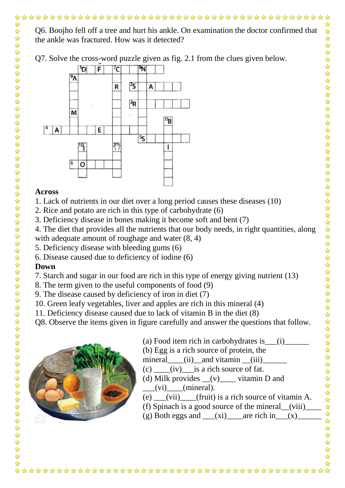$\overline{R}$ 

۶s

## **Across**

M

Ω

E

Α

1. Lack of nutrients in our diet over a long period causes these diseases (10)

11<sub>B</sub>

L

- 2. Rice and potato are rich in this type of carbohydrate (6)
- 3. Deficiency disease in bones making it become soft and bent (7)
- 4. The diet that provides all the nutrients that our body needs, in right quantities, along
- with adequate amount of roughage and water  $(8, 4)$

٣

- 5. Deficiency disease with bleeding gums (6)
- 6. Disease caused due to deficiency of iodine (6)

## **Down**

 $\frac{1}{\sqrt{2}}$ 

- 7. Starch and sugar in our food are rich in this type of energy giving nutrient (13)
- 8. The term given to the useful components of food (9)
- 9. The disease caused by deficiency of iron in diet (7)
- 10. Green leafy vegetables, liver and apples are rich in this mineral (4)
- 11. Deficiency disease caused due to lack of vitamin B in the diet (8)
- Q8. Observe the items given in figure carefully and answer the questions that follow.



- (a) Food item rich in carbohydrates is  $(i)$
- (b) Egg is a rich source of protein, the

mineral  $(iii)$  and vitamin  $(iii)$ 

- $(c)$   $(iv)$  is a rich source of fat.
- (d) Milk provides  $(v)$  vitamin D and  $(i)$  (mineral).
- (e)  $(vii)$  (fruit) is a rich source of vitamin A.
- (f) Spinach is a good source of the mineral\_\_(viii)\_\_\_\_
- (g) Both eggs and  $(xi)$  are rich in  $(x)$